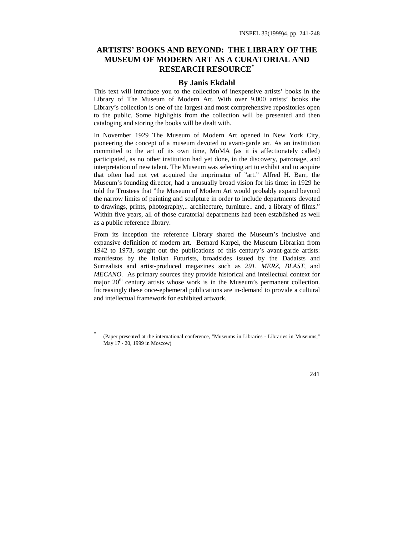## **ARTISTS' BOOKS AND BEYOND: THE LIBRARY OF THE MUSEUM OF MODERN ART AS A CURATORIAL AND RESEARCH RESOURCE\***

## **By Janis Ekdahl**

This text will introduce you to the collection of inexpensive artists' books in the Library of The Museum of Modern Art. With over 9,000 artists' books the Library's collection is one of the largest and most comprehensive repositories open to the public. Some highlights from the collection will be presented and then cataloging and storing the books will be dealt with.

In November 1929 The Museum of Modern Art opened in New York City, pioneering the concept of a museum devoted to avant-garde art. As an institution committed to the art of its own time, MoMA (as it is affectionately called) participated, as no other institution had yet done, in the discovery, patronage, and interpretation of new talent. The Museum was selecting art to exhibit and to acquire that often had not yet acquired the imprimatur of "art." Alfred H. Barr, the Museum's founding director, had a unusually broad vision for his time: in 1929 he told the Trustees that "the Museum of Modern Art would probably expand beyond the narrow limits of painting and sculpture in order to include departments devoted to drawings, prints, photography,.. architecture, furniture.. and, a library of films." Within five years, all of those curatorial departments had been established as well as a public reference library.

From its inception the reference Library shared the Museum's inclusive and expansive definition of modern art. Bernard Karpel, the Museum Librarian from 1942 to 1973, sought out the publications of this century's avant-garde artists: manifestos by the Italian Futurists, broadsides issued by the Dadaists and Surrealists and artist-produced magazines such as *291, MERZ, BLAST,* and *MECANO.* As primary sources they provide historical and intellectual context for major  $20<sup>th</sup>$  century artists whose work is in the Museum's permanent collection. Increasingly these once-ephemeral publications are in-demand to provide a cultural and intellectual framework for exhibited artwork.

-

<sup>\*</sup> (Paper presented at the international conference, "Museums in Libraries - Libraries in Museums," May 17 - 20, 1999 in Moscow)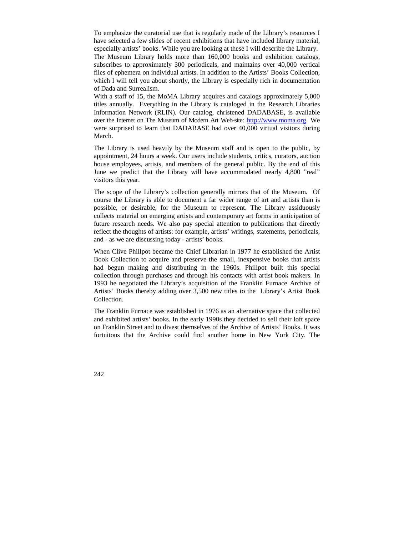To emphasize the curatorial use that is regularly made of the Library's resources I have selected a few slides of recent exhibitions that have included library material, especially artists' books. While you are looking at these I will describe the Library. The Museum Library holds more than 160,000 books and exhibition catalogs, subscribes to approximately 300 periodicals, and maintains over 40,000 vertical files of ephemera on individual artists. In addition to the Artists' Books Collection, which I will tell you about shortly, the Library is especially rich in documentation of Dada and Surrealism.

With a staff of 15, the MoMA Library acquires and catalogs approximately 5,000 titles annually. Everything in the Library is cataloged in the Research Libraries Information Network (RLIN). Our catalog, christened DADABASE, is available over the Internet on The Museum of Modern Art Web-site: [http://www.moma.org.](http://www.moma.org) We were surprised to learn that DADABASE had over 40,000 virtual visitors during March.

The Library is used heavily by the Museum staff and is open to the public, by appointment, 24 hours a week. Our users include students, critics, curators, auction house employees, artists, and members of the general public. By the end of this June we predict that the Library will have accommodated nearly 4,800 "real" visitors this year.

The scope of the Library's collection generally mirrors that of the Museum. Of course the Library is able to document a far wider range of art and artists than is possible, or desirable, for the Museum to represent. The Library assiduously collects material on emerging artists and contemporary art forms in anticipation of future research needs. We also pay special attention to publications that directly reflect the thoughts of artists: for example, artists' writings, statements, periodicals, and - as we are discussing today - artists' books.

When Clive Phillpot became the Chief Librarian in 1977 he established the Artist Book Collection to acquire and preserve the small, inexpensive books that artists had begun making and distributing in the 1960s. Phillpot built this special collection through purchases and through his contacts with artist book makers. In 1993 he negotiated the Library's acquisition of the Franklin Furnace Archive of Artists' Books thereby adding over 3,500 new titles to the Library's Artist Book Collection.

The Franklin Furnace was established in 1976 as an alternative space that collected and exhibited artists' books. In the early 1990s they decided to sell their loft space on Franklin Street and to divest themselves of the Archive of Artists' Books. It was fortuitous that the Archive could find another home in New York City. The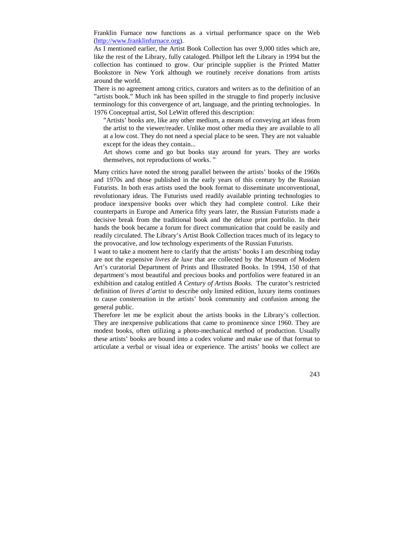Franklin Furnace now functions as a virtual performance space on the Web [\(http://www.franklinfurnace.org\).](http://www.franklinfurnace.org)

As I mentioned earlier, the Artist Book Collection has over 9,000 titles which are, like the rest of the Library, fully cataloged. Phillpot left the Library in 1994 but the collection has continued to grow. Our principle supplier is the Printed Matter Bookstore in New York although we routinely receive donations from artists around the world.

There is no agreement among critics, curators and writers as to the definition of an "artists book." Much ink has been spilled in the struggle to find properly inclusive terminology for this convergence of art, language, and the printing technologies. In 1976 Conceptual artist, Sol LeWitt offered this description:

"Artists' books are, like any other medium, a means of conveying art ideas from the artist to the viewer/reader. Unlike most other media they are available to all at a low cost. They do not need a special place to be seen. They are not valuable except for the ideas they contain...

Art shows come and go but books stay around for years. They are works themselves, not reproductions of works. "

Many critics have noted the strong parallel between the artists' books of the 1960s and 1970s and those published in the early years of this century by the Russian Futurists. In both eras artists used the book format to disseminate unconventional, revolutionary ideas. The Futurists used readily available printing technologies to produce inexpensive books over which they had complete control. Like their counterparts in Europe and America fifty years later, the Russian Futurists made a decisive break from the traditional book and the deluxe print portfolio. In their hands the book became a forum for direct communication that could be easily and readily circulated. The Library's Artist Book Collection traces much of its legacy to the provocative, and low technology experiments of the Russian Futurists.

I want to take a moment here to clarify that the artists' books I am describing today are not the expensive *livres de luxe* that are collected by the Museum of Modern Art's curatorial Department of Prints and Illustrated Books. In 1994, 150 of that department's most beautiful and precious books and portfolios were featured in an exhibition and catalog entitled *A Century of Artists Books.* The curator's restricted definition of *livres d'artist* to describe only limited edition, luxury items continues to cause consternation in the artists' book community and confusion among the general public.

Therefore let me be explicit about the artists books in the Library's collection. They are inexpensive publications that came to prominence since 1960. They are modest books, often utilizing a photo-mechanical method of production. Usually these artists' books are bound into a codex volume and make use of that format to articulate a verbal or visual idea or experience. The artists' books we collect are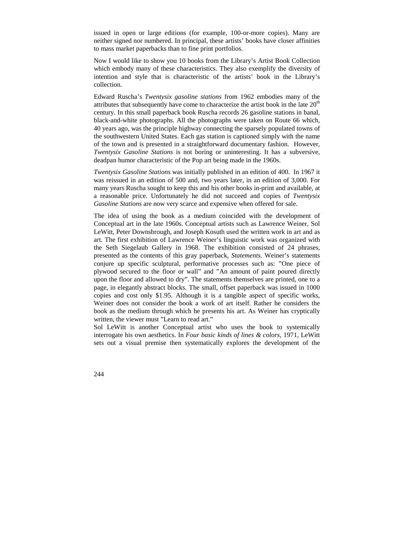issued in open or large editions (for example, 100-or-more copies). Many are neither signed nor numbered. In principal, these artists' books have closer affinities to mass market paperbacks than to fine print portfolios.

Now I would like to show you 10 books from the Library's Artist Book Collection which embody many of these characteristics. They also exemplify the diversity of intention and style that is characteristic of the artists' book in the Library's collection.

Edward Ruscha's *Twentysix gasoline stations* from 1962 embodies many of the attributes that subsequently have come to characterize the artist book in the late  $20<sup>th</sup>$ century. In this small paperback book Ruscha records 26 gasoline stations in banal, black-and-white photographs. All the photographs were taken on Route 66 which, 40 years ago, was the principle highway connecting the sparsely populated towns of the southwestern United States. Each gas station is captioned simply with the name of the town and is presented in a straightforward documentary fashion. However, *Twentysix Gasoline Stations* is not boring or uninteresting. It has a subversive, deadpan humor characteristic of the Pop art being made in the 1960s.

*Twentysix Gasoline Stations* was initially published in an edition of 400. In 1967 it was reissued in an edition of 500 and, two years later, in an edition of 3,000. For many years Ruscha sought to keep this and his other books in-print and available, at a reasonable price. Unfortunately he did not succeed and copies of *Twentysix Gasoline Stations* are now very scarce and expensive when offered for sale.

The idea of using the book as a medium coincided with the development of Conceptual art in the late 1960s. Conceptual artists such as Lawrence Weiner, Sol LeWitt, Peter Downsbrough, and Joseph Kosuth used the written work in art and as art. The first exhibition of Lawrence Weiner's linguistic work was organized with the Seth Siegelaub Gallery in 1968. The exhibition consisted of 24 phrases, presented as the contents of this gray paperback, *Statements*. Weiner's statements conjure up specific sculptural, performative processes such as: "One piece of plywood secured to the floor or wall" and "An amount of paint poured directly upon the floor and allowed to dry". The statements themselves are printed, one to a page, in elegantly abstract blocks. The small, offset paperback was issued in 1000 copies and cost only \$1.95. Although it is a tangible aspect of specific works, Weiner does not consider the book a work of art itself. Rather he considers the book as the medium through which he presents his art. As Weiner has cryptically written, the viewer must "Learn to read art."

Sol LeWitt is another Conceptual artist who uses the book to systemically interrogate his own aesthetics. In *Four basic kinds of lines & colors,* 1971, LeWitt sets out a visual premise then systematically explores the development of the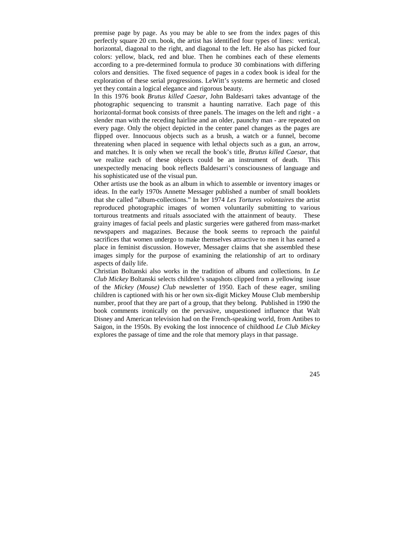premise page by page. As you may be able to see from the index pages of this perfectly square 20 cm. book, the artist has identified four types of lines: vertical, horizontal, diagonal to the right, and diagonal to the left. He also has picked four colors: yellow, black, red and blue. Then he combines each of these elements according to a pre-determined formula to produce 30 combinations with differing colors and densities. The fixed sequence of pages in a codex book is ideal for the exploration of these serial progressions. LeWitt's systems are hermetic and closed yet they contain a logical elegance and rigorous beauty.

In this 1976 book *Brutus killed Caesar*, John Baldesarri takes advantage of the photographic sequencing to transmit a haunting narrative. Each page of this horizontal-format book consists of three panels. The images on the left and right - a slender man with the receding hairline and an older, paunchy man - are repeated on every page. Only the object depicted in the center panel changes as the pages are flipped over. Innocuous objects such as a brush, a watch or a funnel, become threatening when placed in sequence with lethal objects such as a gun, an arrow, and matches. It is only when we recall the book's title, *Brutus killed Caesar,* that we realize each of these objects could be an instrument of death. This unexpectedly menacing book reflects Baldesarri's consciousness of language and his sophisticated use of the visual pun.

Other artists use the book as an album in which to assemble or inventory images or ideas. In the early 1970s Annette Messager published a number of small booklets that she called "album-collections." In her 1974 *Les Tortures volontaires* the artist reproduced photographic images of women voluntarily submitting to various torturous treatments and rituals associated with the attainment of beauty. These grainy images of facial peels and plastic surgeries were gathered from mass-market newspapers and magazines. Because the book seems to reproach the painful sacrifices that women undergo to make themselves attractive to men it has earned a place in feminist discussion. However, Messager claims that she assembled these images simply for the purpose of examining the relationship of art to ordinary aspects of daily life.

Christian Boltanski also works in the tradition of albums and collections. In *Le Club Mickey* Boltanski selects children's snapshots clipped from a yellowing issue of the *Mickey (Mouse) Club* newsletter of 1950. Each of these eager, smiling children is captioned with his or her own six-digit Mickey Mouse Club membership number, proof that they are part of a group, that they belong. Published in 1990 the book comments ironically on the pervasive, unquestioned influence that Walt Disney and American television had on the French-speaking world, from Antibes to Saigon, in the 1950s. By evoking the lost innocence of childhood *Le Club Mickey* explores the passage of time and the role that memory plays in that passage.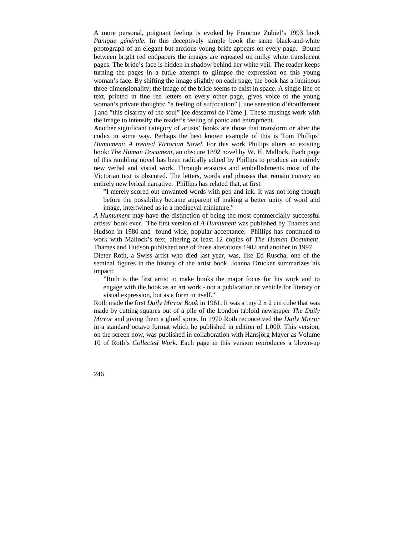A more personal, poignant feeling is evoked by Francine Zubiel's 1993 book *Panique générale*. In this deceptively simple book the same black-and-white photograph of an elegant but anxious young bride appears on every page. Bound between bright red endpapers the images are repeated on milky white translucent pages. The bride's face is hidden in shadow behind her white veil. The reader keeps turning the pages in a futile attempt to glimpse the expression on this young woman's face. By shifting the image slightly on each page, the book has a luminous three-dimensionality; the image of the bride seems to exist in space. A single line of text, printed in fine red letters on every other page, gives voice to the young woman's private thoughts: "a feeling of suffocation" [ une sensation d'étouffement ] and "this disarray of the soul" [ce déssarroi de l'âme ]. These musings work with the image to intensify the reader's feeling of panic and entrapment.

Another significant category of artists' books are those that transform or alter the codex in some way. Perhaps the best known example of this is Tom Phillips' *Humument: A treated Victorian Novel*. For this work Phillips alters an existing book: *The Human Document*, an obscure 1892 novel by W. H. Mallock. Each page of this rambling novel has been radically edited by Phillips to produce an entirely new verbal and visual work. Through erasures and embellishments most of the Victorian text is obscured. The letters, words and phrases that remain convey an entirely new lyrical narrative. Phillips has related that, at first

"I merely scored out unwanted words with pen and ink. It was not long though before the possibility became apparent of making a better unity of word and image, intertwined as in a mediaeval miniature."

*A Humument* may have the distinction of being the most commercially successful artists' book ever. The first version of *A Humument* was published by Thames and Hudson in 1980 and found wide, popular acceptance. Phillips has continued to work with Mallock's text, altering at least 12 copies of *The Human Document*. Thames and Hudson published one of those alterations 1987 and another in 1997.

Dieter Roth, a Swiss artist who died last year, was, like Ed Ruscha, one of the seminal figures in the history of the artist book. Joanna Drucker summarizes his impact:

"Roth is the first artist to make books the major focus for his work and to engage with the book as an art work - not a publication or vehicle for literary or visual expression, but as a form in itself."

Roth made the first *Daily Mirror Book* in 1961. It was a tiny 2 x 2 cm cube that was made by cutting squares out of a pile of the London tabloid newspaper *The Daily Mirror* and giving them a glued spine. In 1970 Roth reconceived the *Daily Mirror* in a standard octavo format which he published in edition of 1,000. This version, on the screen now, was published in collaboration with Hansjörg Mayer as Volume 10 of Roth's *Collected Work*. Each page in this version reproduces a blown-up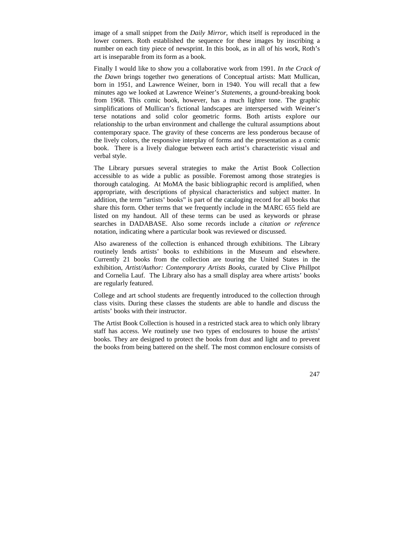image of a small snippet from the *Daily Mirror*, which itself is reproduced in the lower corners. Roth established the sequence for these images by inscribing a number on each tiny piece of newsprint. In this book, as in all of his work, Roth's art is inseparable from its form as a book.

Finally I would like to show you a collaborative work from 1991. *In the Crack of the Dawn* brings together two generations of Conceptual artists: Matt Mullican, born in 1951, and Lawrence Weiner, born in 1940. You will recall that a few minutes ago we looked at Lawrence Weiner's *Statements,* a ground-breaking book from 1968. This comic book, however, has a much lighter tone. The graphic simplifications of Mullican's fictional landscapes are interspersed with Weiner's terse notations and solid color geometric forms. Both artists explore our relationship to the urban environment and challenge the cultural assumptions about contemporary space. The gravity of these concerns are less ponderous because of the lively colors, the responsive interplay of forms and the presentation as a comic book. There is a lively dialogue between each artist's characteristic visual and verbal style.

The Library pursues several strategies to make the Artist Book Collection accessible to as wide a public as possible. Foremost among those strategies is thorough cataloging. At MoMA the basic bibliographic record is amplified, when appropriate, with descriptions of physical characteristics and subject matter. In addition, the term "artists' books" is part of the cataloging record for all books that share this form. Other terms that we frequently include in the MARC 655 field are listed on my handout. All of these terms can be used as keywords or phrase searches in DADABASE. Also some records include a *citation or reference* notation, indicating where a particular book was reviewed or discussed.

Also awareness of the collection is enhanced through exhibitions. The Library routinely lends artists' books to exhibitions in the Museum and elsewhere. Currently 21 books from the collection are touring the United States in the exhibition, *Artist/Author: Contemporary Artists Books,* curated by Clive Phillpot and Cornelia Lauf. The Library also has a small display area where artists' books are regularly featured.

College and art school students are frequently introduced to the collection through class visits. During these classes the students are able to handle and discuss the artists' books with their instructor.

The Artist Book Collection is housed in a restricted stack area to which only library staff has access. We routinely use two types of enclosures to house the artists' books. They are designed to protect the books from dust and light and to prevent the books from being battered on the shelf. The most common enclosure consists of